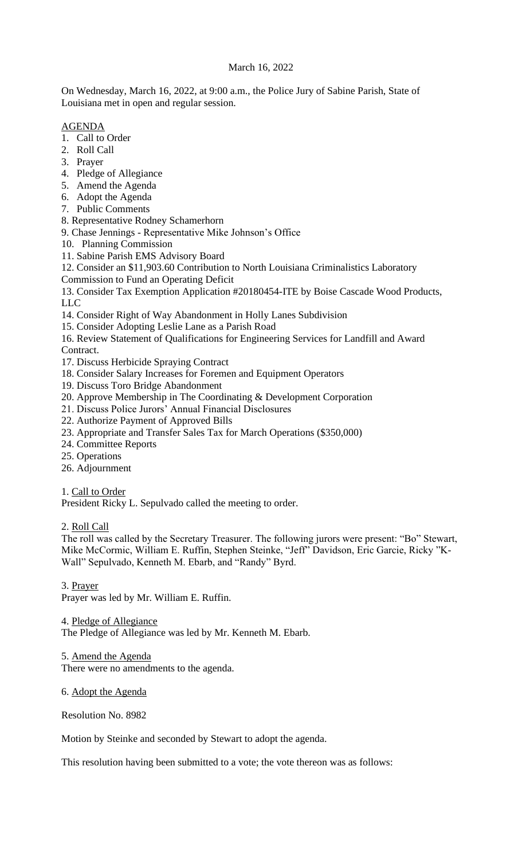# March 16, 2022

On Wednesday, March 16, 2022, at 9:00 a.m., the Police Jury of Sabine Parish, State of Louisiana met in open and regular session.

## AGENDA

- 1. Call to Order
- 2. Roll Call
- 3. Prayer
- 4. Pledge of Allegiance
- 5. Amend the Agenda
- 6. Adopt the Agenda
- 7. Public Comments
- 8. Representative Rodney Schamerhorn
- 9. Chase Jennings Representative Mike Johnson's Office
- 10. Planning Commission
- 11. Sabine Parish EMS Advisory Board

12. Consider an \$11,903.60 Contribution to North Louisiana Criminalistics Laboratory

Commission to Fund an Operating Deficit

13. Consider Tax Exemption Application #20180454-ITE by Boise Cascade Wood Products, LLC

- 14. Consider Right of Way Abandonment in Holly Lanes Subdivision
- 15. Consider Adopting Leslie Lane as a Parish Road

16. Review Statement of Qualifications for Engineering Services for Landfill and Award Contract.

- 17. Discuss Herbicide Spraying Contract
- 18. Consider Salary Increases for Foremen and Equipment Operators
- 19. Discuss Toro Bridge Abandonment
- 20. Approve Membership in The Coordinating & Development Corporation
- 21. Discuss Police Jurors' Annual Financial Disclosures
- 22. Authorize Payment of Approved Bills
- 23. Appropriate and Transfer Sales Tax for March Operations (\$350,000)
- 24. Committee Reports
- 25. Operations
- 26. Adjournment

1. Call to Order

President Ricky L. Sepulvado called the meeting to order.

2. Roll Call

The roll was called by the Secretary Treasurer. The following jurors were present: "Bo" Stewart, Mike McCormic, William E. Ruffin, Stephen Steinke, "Jeff" Davidson, Eric Garcie, Ricky "K-Wall" Sepulvado, Kenneth M. Ebarb, and "Randy" Byrd.

3. Prayer Prayer was led by Mr. William E. Ruffin.

4. Pledge of Allegiance

The Pledge of Allegiance was led by Mr. Kenneth M. Ebarb.

5. Amend the Agenda There were no amendments to the agenda.

6. Adopt the Agenda

Resolution No. 8982

Motion by Steinke and seconded by Stewart to adopt the agenda.

This resolution having been submitted to a vote; the vote thereon was as follows: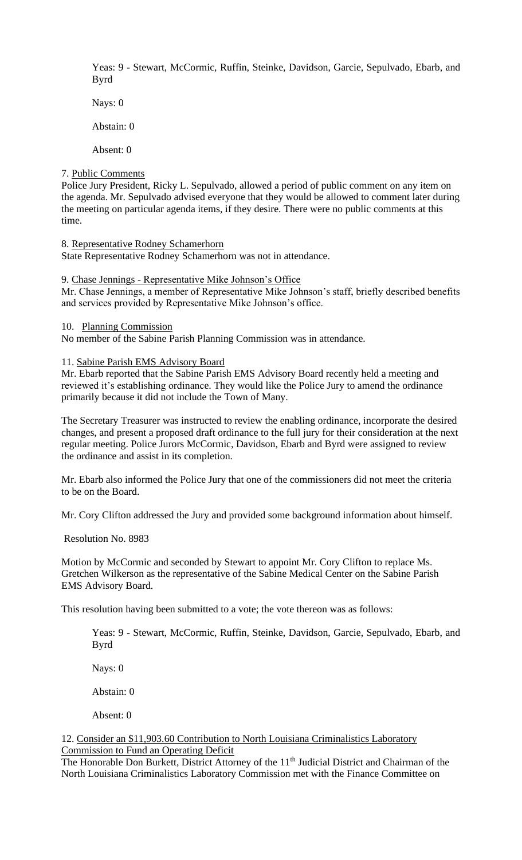Yeas: 9 - Stewart, McCormic, Ruffin, Steinke, Davidson, Garcie, Sepulvado, Ebarb, and Byrd

Nays: 0

Abstain: 0

Absent: 0

## 7. Public Comments

Police Jury President, Ricky L. Sepulvado, allowed a period of public comment on any item on the agenda. Mr. Sepulvado advised everyone that they would be allowed to comment later during the meeting on particular agenda items, if they desire. There were no public comments at this time.

# 8. Representative Rodney Schamerhorn

State Representative Rodney Schamerhorn was not in attendance.

# 9. Chase Jennings - Representative Mike Johnson's Office

Mr. Chase Jennings, a member of Representative Mike Johnson's staff, briefly described benefits and services provided by Representative Mike Johnson's office.

### 10. Planning Commission

No member of the Sabine Parish Planning Commission was in attendance.

# 11. Sabine Parish EMS Advisory Board

Mr. Ebarb reported that the Sabine Parish EMS Advisory Board recently held a meeting and reviewed it's establishing ordinance. They would like the Police Jury to amend the ordinance primarily because it did not include the Town of Many.

The Secretary Treasurer was instructed to review the enabling ordinance, incorporate the desired changes, and present a proposed draft ordinance to the full jury for their consideration at the next regular meeting. Police Jurors McCormic, Davidson, Ebarb and Byrd were assigned to review the ordinance and assist in its completion.

Mr. Ebarb also informed the Police Jury that one of the commissioners did not meet the criteria to be on the Board.

Mr. Cory Clifton addressed the Jury and provided some background information about himself.

Resolution No. 8983

Motion by McCormic and seconded by Stewart to appoint Mr. Cory Clifton to replace Ms. Gretchen Wilkerson as the representative of the Sabine Medical Center on the Sabine Parish EMS Advisory Board.

This resolution having been submitted to a vote; the vote thereon was as follows:

Yeas: 9 - Stewart, McCormic, Ruffin, Steinke, Davidson, Garcie, Sepulvado, Ebarb, and Byrd

Nays: 0

Abstain: 0

Absent: 0

### 12. Consider an \$11,903.60 Contribution to North Louisiana Criminalistics Laboratory Commission to Fund an Operating Deficit

The Honorable Don Burkett, District Attorney of the 11<sup>th</sup> Judicial District and Chairman of the North Louisiana Criminalistics Laboratory Commission met with the Finance Committee on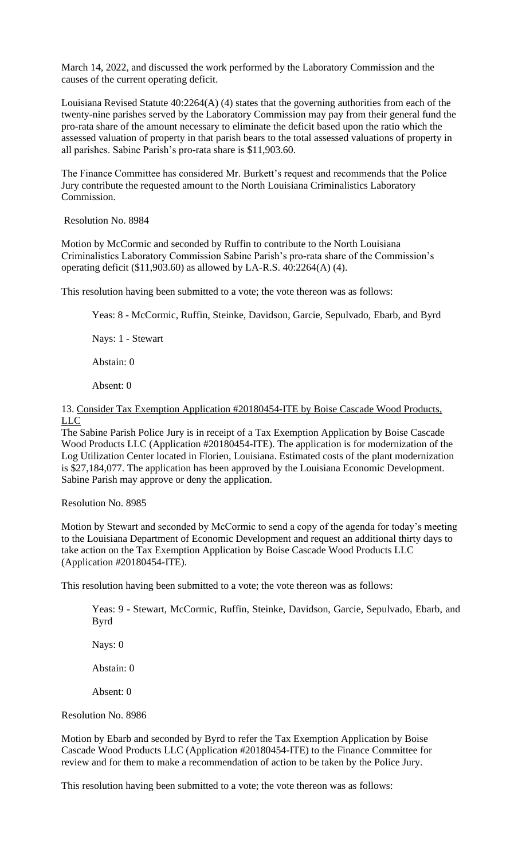March 14, 2022, and discussed the work performed by the Laboratory Commission and the causes of the current operating deficit.

Louisiana Revised Statute  $40:2264(A)$  (4) states that the governing authorities from each of the twenty-nine parishes served by the Laboratory Commission may pay from their general fund the pro-rata share of the amount necessary to eliminate the deficit based upon the ratio which the assessed valuation of property in that parish bears to the total assessed valuations of property in all parishes. Sabine Parish's pro-rata share is \$11,903.60.

The Finance Committee has considered Mr. Burkett's request and recommends that the Police Jury contribute the requested amount to the North Louisiana Criminalistics Laboratory Commission.

Resolution No. 8984

Motion by McCormic and seconded by Ruffin to contribute to the North Louisiana Criminalistics Laboratory Commission Sabine Parish's pro-rata share of the Commission's operating deficit (\$11,903.60) as allowed by LA-R.S. 40:2264(A) (4).

This resolution having been submitted to a vote; the vote thereon was as follows:

Yeas: 8 - McCormic, Ruffin, Steinke, Davidson, Garcie, Sepulvado, Ebarb, and Byrd

Nays: 1 - Stewart

Abstain: 0

Absent: 0

13. Consider Tax Exemption Application #20180454-ITE by Boise Cascade Wood Products, LLC

The Sabine Parish Police Jury is in receipt of a Tax Exemption Application by Boise Cascade Wood Products LLC (Application #20180454-ITE). The application is for modernization of the Log Utilization Center located in Florien, Louisiana. Estimated costs of the plant modernization is \$27,184,077. The application has been approved by the Louisiana Economic Development. Sabine Parish may approve or deny the application.

Resolution No. 8985

Motion by Stewart and seconded by McCormic to send a copy of the agenda for today's meeting to the Louisiana Department of Economic Development and request an additional thirty days to take action on the Tax Exemption Application by Boise Cascade Wood Products LLC (Application #20180454-ITE).

This resolution having been submitted to a vote; the vote thereon was as follows:

Yeas: 9 - Stewart, McCormic, Ruffin, Steinke, Davidson, Garcie, Sepulvado, Ebarb, and Byrd

Nays: 0

Abstain: 0

Absent: 0

Resolution No. 8986

Motion by Ebarb and seconded by Byrd to refer the Tax Exemption Application by Boise Cascade Wood Products LLC (Application #20180454-ITE) to the Finance Committee for review and for them to make a recommendation of action to be taken by the Police Jury.

This resolution having been submitted to a vote; the vote thereon was as follows: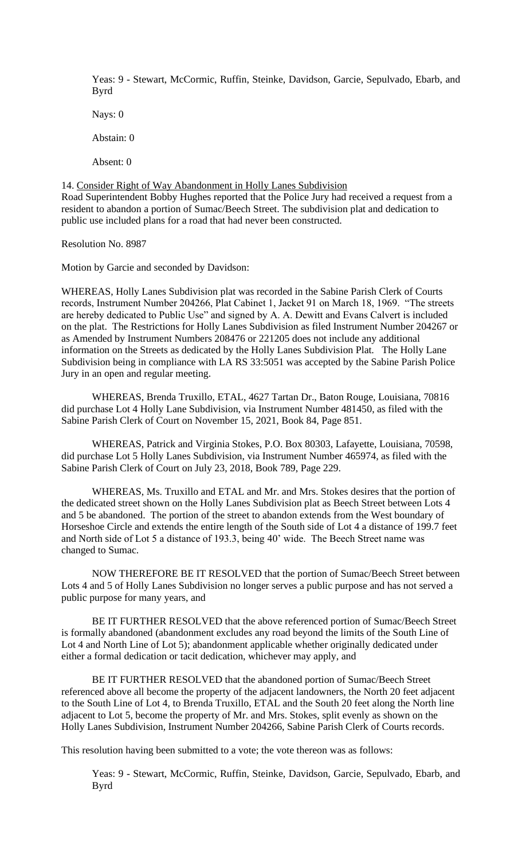Yeas: 9 - Stewart, McCormic, Ruffin, Steinke, Davidson, Garcie, Sepulvado, Ebarb, and Byrd

Nays: 0

Abstain: 0

Absent: 0

14. Consider Right of Way Abandonment in Holly Lanes Subdivision Road Superintendent Bobby Hughes reported that the Police Jury had received a request from a resident to abandon a portion of Sumac/Beech Street. The subdivision plat and dedication to public use included plans for a road that had never been constructed.

Resolution No. 8987

Motion by Garcie and seconded by Davidson:

WHEREAS, Holly Lanes Subdivision plat was recorded in the Sabine Parish Clerk of Courts records, Instrument Number 204266, Plat Cabinet 1, Jacket 91 on March 18, 1969. "The streets are hereby dedicated to Public Use" and signed by A. A. Dewitt and Evans Calvert is included on the plat. The Restrictions for Holly Lanes Subdivision as filed Instrument Number 204267 or as Amended by Instrument Numbers 208476 or 221205 does not include any additional information on the Streets as dedicated by the Holly Lanes Subdivision Plat. The Holly Lane Subdivision being in compliance with LA RS 33:5051 was accepted by the Sabine Parish Police Jury in an open and regular meeting.

WHEREAS, Brenda Truxillo, ETAL, 4627 Tartan Dr., Baton Rouge, Louisiana, 70816 did purchase Lot 4 Holly Lane Subdivision, via Instrument Number 481450, as filed with the Sabine Parish Clerk of Court on November 15, 2021, Book 84, Page 851.

WHEREAS, Patrick and Virginia Stokes, P.O. Box 80303, Lafayette, Louisiana, 70598, did purchase Lot 5 Holly Lanes Subdivision, via Instrument Number 465974, as filed with the Sabine Parish Clerk of Court on July 23, 2018, Book 789, Page 229.

WHEREAS, Ms. Truxillo and ETAL and Mr. and Mrs. Stokes desires that the portion of the dedicated street shown on the Holly Lanes Subdivision plat as Beech Street between Lots 4 and 5 be abandoned. The portion of the street to abandon extends from the West boundary of Horseshoe Circle and extends the entire length of the South side of Lot 4 a distance of 199.7 feet and North side of Lot 5 a distance of 193.3, being 40' wide. The Beech Street name was changed to Sumac.

NOW THEREFORE BE IT RESOLVED that the portion of Sumac/Beech Street between Lots 4 and 5 of Holly Lanes Subdivision no longer serves a public purpose and has not served a public purpose for many years, and

BE IT FURTHER RESOLVED that the above referenced portion of Sumac/Beech Street is formally abandoned (abandonment excludes any road beyond the limits of the South Line of Lot 4 and North Line of Lot 5); abandonment applicable whether originally dedicated under either a formal dedication or tacit dedication, whichever may apply, and

BE IT FURTHER RESOLVED that the abandoned portion of Sumac/Beech Street referenced above all become the property of the adjacent landowners, the North 20 feet adjacent to the South Line of Lot 4, to Brenda Truxillo, ETAL and the South 20 feet along the North line adjacent to Lot 5, become the property of Mr. and Mrs. Stokes, split evenly as shown on the Holly Lanes Subdivision, Instrument Number 204266, Sabine Parish Clerk of Courts records.

This resolution having been submitted to a vote; the vote thereon was as follows:

Yeas: 9 - Stewart, McCormic, Ruffin, Steinke, Davidson, Garcie, Sepulvado, Ebarb, and Byrd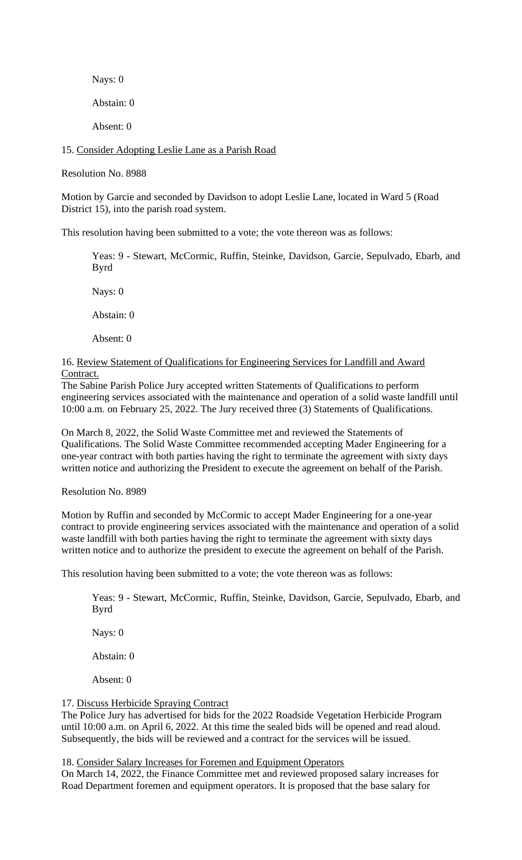Nays: 0 Abstain: 0

Absent: 0

15. Consider Adopting Leslie Lane as a Parish Road

Resolution No. 8988

Motion by Garcie and seconded by Davidson to adopt Leslie Lane, located in Ward 5 (Road District 15), into the parish road system.

This resolution having been submitted to a vote; the vote thereon was as follows:

Yeas: 9 - Stewart, McCormic, Ruffin, Steinke, Davidson, Garcie, Sepulvado, Ebarb, and Byrd

Nays: 0

Abstain: 0

Absent: 0

16. Review Statement of Qualifications for Engineering Services for Landfill and Award Contract.

The Sabine Parish Police Jury accepted written Statements of Qualifications to perform engineering services associated with the maintenance and operation of a solid waste landfill until 10:00 a.m. on February 25, 2022. The Jury received three (3) Statements of Qualifications.

On March 8, 2022, the Solid Waste Committee met and reviewed the Statements of Qualifications. The Solid Waste Committee recommended accepting Mader Engineering for a one-year contract with both parties having the right to terminate the agreement with sixty days written notice and authorizing the President to execute the agreement on behalf of the Parish.

Resolution No. 8989

Motion by Ruffin and seconded by McCormic to accept Mader Engineering for a one-year contract to provide engineering services associated with the maintenance and operation of a solid waste landfill with both parties having the right to terminate the agreement with sixty days written notice and to authorize the president to execute the agreement on behalf of the Parish.

This resolution having been submitted to a vote; the vote thereon was as follows:

Yeas: 9 - Stewart, McCormic, Ruffin, Steinke, Davidson, Garcie, Sepulvado, Ebarb, and Byrd

Nays: 0

Abstain: 0

Absent: 0

### 17. Discuss Herbicide Spraying Contract

The Police Jury has advertised for bids for the 2022 Roadside Vegetation Herbicide Program until 10:00 a.m. on April 6, 2022. At this time the sealed bids will be opened and read aloud. Subsequently, the bids will be reviewed and a contract for the services will be issued.

18. Consider Salary Increases for Foremen and Equipment Operators

On March 14, 2022, the Finance Committee met and reviewed proposed salary increases for Road Department foremen and equipment operators. It is proposed that the base salary for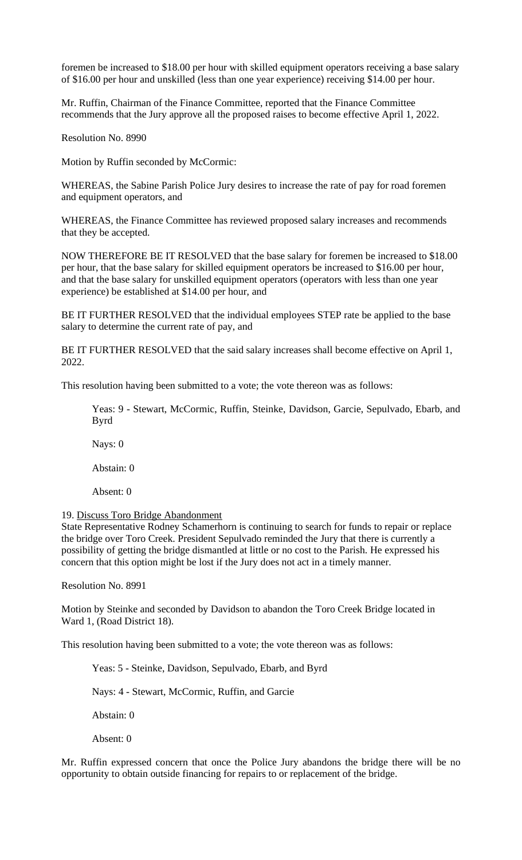foremen be increased to \$18.00 per hour with skilled equipment operators receiving a base salary of \$16.00 per hour and unskilled (less than one year experience) receiving \$14.00 per hour.

Mr. Ruffin, Chairman of the Finance Committee, reported that the Finance Committee recommends that the Jury approve all the proposed raises to become effective April 1, 2022.

Resolution No. 8990

Motion by Ruffin seconded by McCormic:

WHEREAS, the Sabine Parish Police Jury desires to increase the rate of pay for road foremen and equipment operators, and

WHEREAS, the Finance Committee has reviewed proposed salary increases and recommends that they be accepted.

NOW THEREFORE BE IT RESOLVED that the base salary for foremen be increased to \$18.00 per hour, that the base salary for skilled equipment operators be increased to \$16.00 per hour, and that the base salary for unskilled equipment operators (operators with less than one year experience) be established at \$14.00 per hour, and

BE IT FURTHER RESOLVED that the individual employees STEP rate be applied to the base salary to determine the current rate of pay, and

BE IT FURTHER RESOLVED that the said salary increases shall become effective on April 1, 2022.

This resolution having been submitted to a vote; the vote thereon was as follows:

Yeas: 9 - Stewart, McCormic, Ruffin, Steinke, Davidson, Garcie, Sepulvado, Ebarb, and Byrd

Nays: 0

Abstain: 0

Absent: 0

#### 19. Discuss Toro Bridge Abandonment

State Representative Rodney Schamerhorn is continuing to search for funds to repair or replace the bridge over Toro Creek. President Sepulvado reminded the Jury that there is currently a possibility of getting the bridge dismantled at little or no cost to the Parish. He expressed his concern that this option might be lost if the Jury does not act in a timely manner.

Resolution No. 8991

Motion by Steinke and seconded by Davidson to abandon the Toro Creek Bridge located in Ward 1, (Road District 18).

This resolution having been submitted to a vote; the vote thereon was as follows:

Yeas: 5 - Steinke, Davidson, Sepulvado, Ebarb, and Byrd

Nays: 4 - Stewart, McCormic, Ruffin, and Garcie

Abstain: 0

Absent: 0

Mr. Ruffin expressed concern that once the Police Jury abandons the bridge there will be no opportunity to obtain outside financing for repairs to or replacement of the bridge.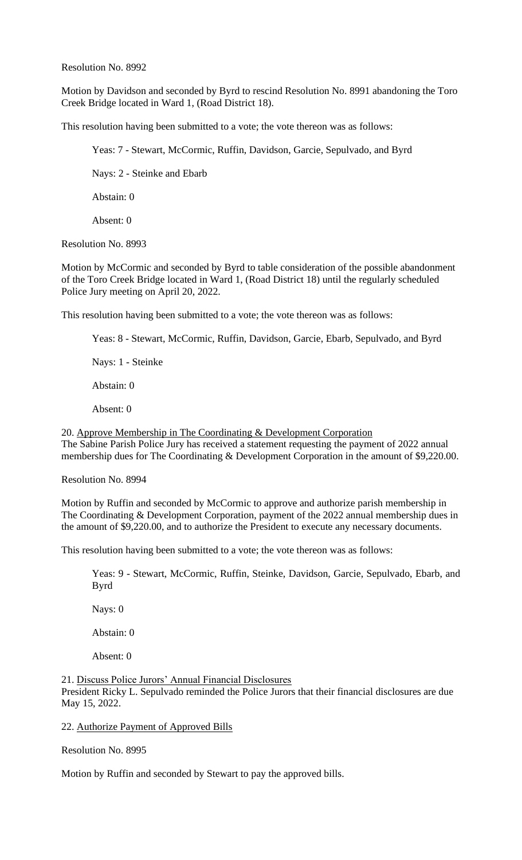Resolution No. 8992

Motion by Davidson and seconded by Byrd to rescind Resolution No. 8991 abandoning the Toro Creek Bridge located in Ward 1, (Road District 18).

This resolution having been submitted to a vote; the vote thereon was as follows:

Yeas: 7 - Stewart, McCormic, Ruffin, Davidson, Garcie, Sepulvado, and Byrd

Nays: 2 - Steinke and Ebarb

Abstain: 0

Absent: 0

Resolution No. 8993

Motion by McCormic and seconded by Byrd to table consideration of the possible abandonment of the Toro Creek Bridge located in Ward 1, (Road District 18) until the regularly scheduled Police Jury meeting on April 20, 2022.

This resolution having been submitted to a vote; the vote thereon was as follows:

Yeas: 8 - Stewart, McCormic, Ruffin, Davidson, Garcie, Ebarb, Sepulvado, and Byrd

Nays: 1 - Steinke

Abstain: 0

Absent: 0

20. Approve Membership in The Coordinating & Development Corporation The Sabine Parish Police Jury has received a statement requesting the payment of 2022 annual membership dues for The Coordinating & Development Corporation in the amount of \$9,220.00.

Resolution No. 8994

Motion by Ruffin and seconded by McCormic to approve and authorize parish membership in The Coordinating & Development Corporation, payment of the 2022 annual membership dues in the amount of \$9,220.00, and to authorize the President to execute any necessary documents.

This resolution having been submitted to a vote; the vote thereon was as follows:

Yeas: 9 - Stewart, McCormic, Ruffin, Steinke, Davidson, Garcie, Sepulvado, Ebarb, and Byrd

Nays: 0

Abstain: 0

Absent: 0

21. Discuss Police Jurors' Annual Financial Disclosures President Ricky L. Sepulvado reminded the Police Jurors that their financial disclosures are due May 15, 2022.

#### 22. Authorize Payment of Approved Bills

Resolution No. 8995

Motion by Ruffin and seconded by Stewart to pay the approved bills.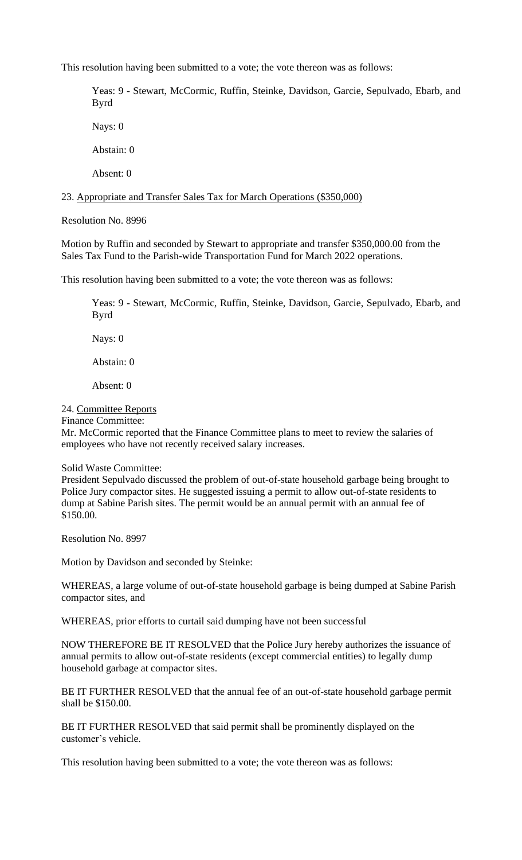This resolution having been submitted to a vote; the vote thereon was as follows:

Yeas: 9 - Stewart, McCormic, Ruffin, Steinke, Davidson, Garcie, Sepulvado, Ebarb, and Byrd

Nays: 0

Abstain: 0

Absent: 0

23. Appropriate and Transfer Sales Tax for March Operations (\$350,000)

Resolution No. 8996

Motion by Ruffin and seconded by Stewart to appropriate and transfer \$350,000.00 from the Sales Tax Fund to the Parish-wide Transportation Fund for March 2022 operations.

This resolution having been submitted to a vote; the vote thereon was as follows:

Yeas: 9 - Stewart, McCormic, Ruffin, Steinke, Davidson, Garcie, Sepulvado, Ebarb, and Byrd

Nays: 0

Abstain: 0

Absent: 0

24. Committee Reports

Finance Committee:

Mr. McCormic reported that the Finance Committee plans to meet to review the salaries of employees who have not recently received salary increases.

### Solid Waste Committee:

President Sepulvado discussed the problem of out-of-state household garbage being brought to Police Jury compactor sites. He suggested issuing a permit to allow out-of-state residents to dump at Sabine Parish sites. The permit would be an annual permit with an annual fee of \$150.00.

Resolution No. 8997

Motion by Davidson and seconded by Steinke:

WHEREAS, a large volume of out-of-state household garbage is being dumped at Sabine Parish compactor sites, and

WHEREAS, prior efforts to curtail said dumping have not been successful

NOW THEREFORE BE IT RESOLVED that the Police Jury hereby authorizes the issuance of annual permits to allow out-of-state residents (except commercial entities) to legally dump household garbage at compactor sites.

BE IT FURTHER RESOLVED that the annual fee of an out-of-state household garbage permit shall be \$150.00.

BE IT FURTHER RESOLVED that said permit shall be prominently displayed on the customer's vehicle.

This resolution having been submitted to a vote; the vote thereon was as follows: